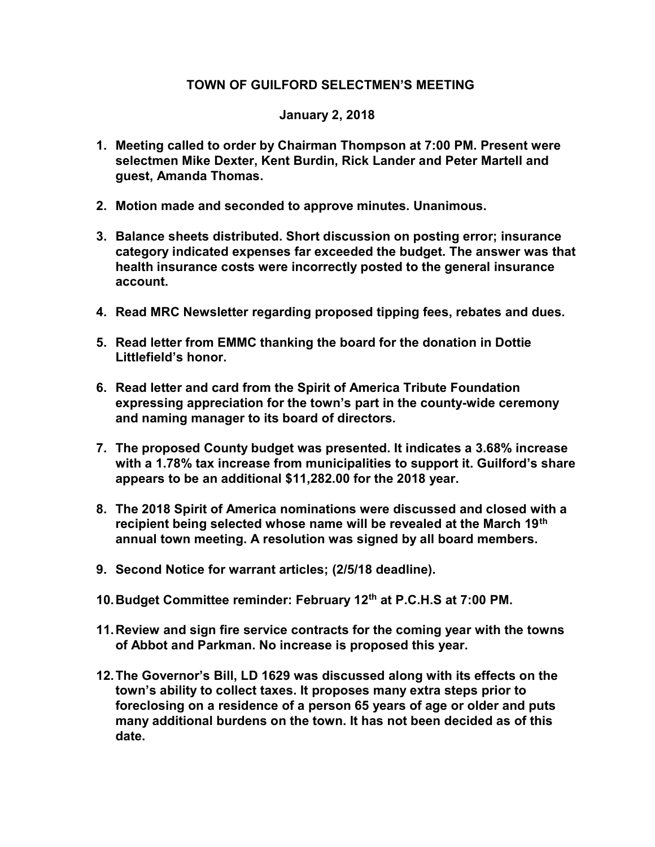## TOWN OF GUILFORD SELECTMEN'S MEETING

## January 2, 2018

- 1. Meeting called to order by Chairman Thompson at 7:00 PM. Present were selectmen Mike Dexter, Kent Burdin, Rick Lander and Peter Martell and guest, Amanda Thomas.
- 2. Motion made and seconded to approve minutes. Unanimous.
- 3. Balance sheets distributed. Short discussion on posting error; insurance category indicated expenses far exceeded the budget. The answer was that health insurance costs were incorrectly posted to the general insurance account.
- 4. Read MRC Newsletter regarding proposed tipping fees, rebates and dues.
- 5. Read letter from EMMC thanking the board for the donation in Dottie Littlefield's honor.
- 6. Read letter and card from the Spirit of America Tribute Foundation expressing appreciation for the town's part in the county-wide ceremony and naming manager to its board of directors.
- 7. The proposed County budget was presented. It indicates a 3.68% increase with a 1.78% tax increase from municipalities to support it. Guilford's share appears to be an additional \$11,282.00 for the 2018 year.
- 8. The 2018 Spirit of America nominations were discussed and closed with a recipient being selected whose name will be revealed at the March 19<sup>th</sup> annual town meeting. A resolution was signed by all board members.
- 9. Second Notice for warrant articles; (2/5/18 deadline).
- 10. Budget Committee reminder: February 12<sup>th</sup> at P.C.H.S at 7:00 PM.
- 11. Review and sign fire service contracts for the coming year with the towns of Abbot and Parkman. No increase is proposed this year.
- 12. The Governor's Bill, LD 1629 was discussed along with its effects on the town's ability to collect taxes. It proposes many extra steps prior to foreclosing on a residence of a person 65 years of age or older and puts many additional burdens on the town. It has not been decided as of this date.